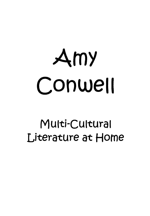# $Amy$ Conwell

# MUlti-CUltUral Literature at Home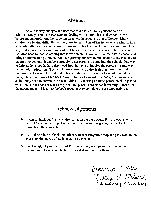#### **Abstract**

As our society changes and becomes less and less homogeneous so do our schools. Many schools in our state are dealing with cultural issues they have never before encountered. Another growing issue within schools is that of literacy. Many children are having difficulty learning how to read. One of the issues as a teacher in this new culturally diverse class setting is how to reach all of the children in your class. One way to do this is by having multi-cultural literature in the classroom for children to read. Children need to read something that is written about someone like themselves because it brings more meaning to them. Another growing concern in our schools today is a lack of parent involvement. It can be a struggle to get parents to come into the school. One way to help students get the help they need from home is to involve the parents in some way in the child's education. The way I have chosen to do that is through multi-cultural literature packs which the child takes home with them. These packs would include a book, a tape recording of the book, three activities to go with the book, and any materials a child may need to complete these activities. By making up these packs the child gets to read a book, but does not necessarily need the parent's assistance in reading. Then after the parent and child listen to the book together they complete the assigned activities.

#### **Acknowledgements**

- **.:. I** want to thank Dr. Nancy MeIser for advising me through this project. She was helpful to me in the project selection phase, as well as giving me feedback throughout the completion.
- I would also like to thank the Urban Semester Program for opening my eyes to the ever changing needs of students across the state .
- **◆** Last I would like to thank all of the outstanding teachers out there who have inspired me. I would not be here today if it were not for them.

Approved 5-4-05<br>Mancy a Melser,<br>Elementary Education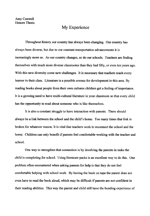#### My Experience

Throughout history our country has always been changing. Our country has always been diverse, but due to our constant transportation advancements it is increasingly more so. As our country changes, so do our schools. Teachers are finding themselves with much more diverse classrooms than they had fifty, or even ten years ago. With this new diversity come new challenges. **It** is necessary that teachers reach every learner in their class. Literature is a possible avenue for development in this area. By reading books about people from their own cultures children get a feeling of importance. **It** is a growing need to have multi-cultural literature in your classroom so that every child has the opportunity to read about someone who is like themselves.

**It** is also a constant struggle to have interaction with parents. There should always be a link between the school and the child's home. Too many times that link is broken for whatever reason. It is vital that teachers work to reconnect the school and the home. Children can only benefit if parents feel comfortable working with the teacher and school.

One way to strengthen that connection is by involving the parents in tasks the child is completing for school. Using literature packs is an excellent way to do this. One problem often encountered when asking parents for help is that they do not feel comfortable helping with school work. By having the book on tape the parent does not even have to read the book aloud, which may be difficult if parents are not confident in their reading abilities. This way the parent and child still have the bonding experience of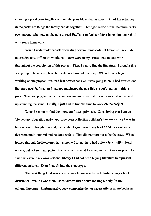enjoying a good book together without the possible embarrassment. All of the activities in the packs are things the family can do together. Through the use of the literature packs even parents who may not be able to read English can feel confident in helping their child with some homework.

When I undertook the task of creating several multi-cultural literature packs I did not realize how difficult it would be. There were many issues I had to deal with throughout the completion of this project. First, I had to fmd the literature. I thought this was going to be an easy task, but it did not turn out that way. When I really began working on the project I realized just how expensive it was going to be. I had created one literature pack before, but I had not anticipated the possible cost of creating multiple packs. The next problem which arose was making sure that my activities did not all end up sounding the same. Finally, I just had to find the time to work on the project.

When I set out to find the literature I was optimistic. Considering that I am an Elementary Education major and have been collecting children's literature since I was in high school, I thought I would just be able to go through my books and pick out some that were multi-cultural and be done with it. That did not turn out to be the case. When I looked through the literature I had at home I found that I had quite a few multi-cultural novels, but not so many picture books which is what I wanted to use. I was surprised to find that even in my own personal library I had not been buying literature to represent different cultures. Even I had fit into the stereotype.

The next thing I did was attend a warehouse sale for Scholastic, a major book distributor. While I was there I spent almost three hours looking strictly for multicultural literature. Unfortunately, book companies do not necessarily separate books as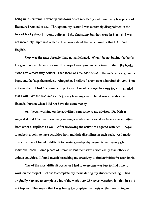being multi-cultural. I went up and down aisles repeatedly and found very few pieces of literature I wanted to use. Throughout my search I was extremely disappointed in the lack of books about Hispanic cultures. I did find some, but they were in Spanish. I was not incredibly impressed with the few books about Hispanic families that I did find in English.

Cost was the next obstacle I had not anticipated. When I began buying the books I began to realize how expensive this project was going to be. Overall I think the books alone cost almost fifty dollars. Then there was the added cost of the materials to go in the bags, and the bags themselves. Altogether, I believe I spent over a hundred dollars. I am not sure that if I had to choose a project again I would choose the same topic. I am glad that I will have the resource as I begin my teaching career, but it was an additional financial burden when I did not have the extra money.

As I began working on the activities I sent some to my advisor. Dr. MeIser suggested that I had used too many writing activities and should include some activities from other disciplines as well. After reviewing the activities I agreed with her. I began to make it a point to have activities from multiple disciplines in each pack. As I made this adjustment I found it difficult to create activities that were distinctive to each individual book. Some pieces of literature lent themselves more easily than others to unique activities. I found myself stretching my creativity to find activities for each book.

One of the most difficult obstacles I had to overcome was just to find time to work on the project. I chose to complete my thesis during my student teaching. I had originally planned to complete a lot of the work over Christmas vacation, but that just did not happen. That meant that I was trying to complete my thesis while I was trying to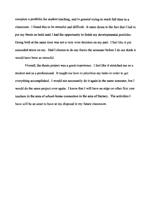complete a portfolio for student teaching, and in general trying to teach full time in a classroom. I found this to be stressful and difficult. It came down to the fact that I had to put my thesis on hold until I had the opportunity to finish my developmental portfolio. Doing both at the same time was not a very wise decision on my part. I feel like it put unneeded stress on me. Had I chosen to do my thesis the semester before I do not think it would have been as stressful.

Overall, the thesis project was a good experience. I feel like it stretched me as a student and as a professional. It taught me how to prioritize my tasks in order to get everything accomplished. I would not necessarily do it again in the same semester, but I would do the same project over again. I know that I will have an edge on other first year teachers in the area of school-home connection in the area of literacy. The activities I have will be an asset to have at my disposal in my future classroom.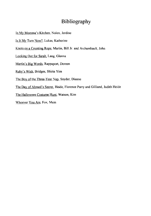#### **Bibliography**

- In My Momma's Kitchen, Nolen, Jerdine
- Is It My Tum Now?, Lukas, Katherine
- Knots on a Counting Rope, Martin, Bill Jr. and Archambault, John
- Looking Out for Sarah, Lang, Glenna
- Martin's Big Words, Rappaport, Doreen
- Ruby's Wish, Bridges, Shirin Yim
- The Boy of the Three-Year Nap, Snyder, Dianne
- The Day of Ahmed's Secret, Heide, Florence Parry and Gilliand, Judith Heide
- The Halloween Costume Hunt, Watson, Kim
- Whoever You Are, Fox, Mem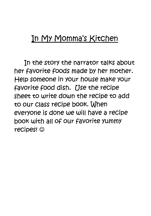## In My Momma's KitChen

In the story the narrator talks about her favorite foods made by her mother. Help someone in your house make your favorite food dish. Use the recipe sheet to write down the recipe to add to our class recipe booK. When everyone is done we will have a recipe bOOK with all of our favorite yummy recipes! ©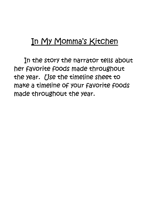# In My Momma's KitChen

In the story the narrator tells about her favorite foods made throughout the year. *Use* the timeline sheet to make a timeline of your favorite foods made throughout the year.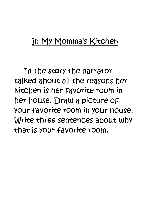## In My Momma's KitChen

In the story the narrator talKed about all the reasons her KitChen is her favorite room in her house. Draw a piCtUre of your favorite room in your house. Write three sentences about whY that is your favorite room.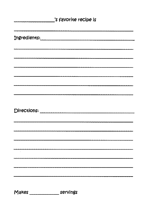| 's favorite recipe is |  |
|-----------------------|--|
|                       |  |
|                       |  |
|                       |  |
|                       |  |
|                       |  |
|                       |  |
|                       |  |
|                       |  |
|                       |  |
|                       |  |
|                       |  |
|                       |  |
|                       |  |
|                       |  |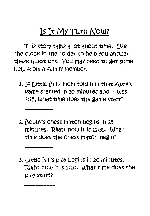# **Is It My Turn** *Now?*

This story talks a lot about time. Use the ClOCK in the fOlder to help yoU answer these questions. You may need to get some help from a familY member.

- 1. If Little Bill's mom tOld him that April's game started in 10 minutes and it was 3:15, what time does the game start?
- 2. BobbY's chess match begins in 25 minutes. Right now it is 12:35. What time does the chess match begin?
- 3. Little Bill's plaY begins in 20 minutes. Right now it is 2:10. What time does the play start?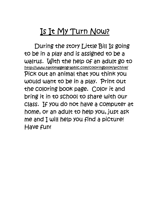# Is It My Turn Now?

During the story Little Bill Is going to be in a plaY and is assigned to be a walrus. With the help of an adult go to http://www.nationalgeographic.com/coloringbooK/archive/ Pick out an animal that you think you would want to be in a play. Print out the COloring bOOK page. COlor it and bring it in to sChool to share with our class. If you do not have a computer at home, or an adult to help you, just ask me and I will help you find a picture! Have fun!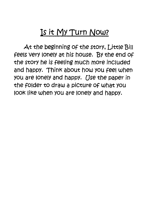# **Is it My Turn Now?**

At the beginning of the story, Little Bill feels very lonelY at his house. By the end of the Story he is feeling much more included and happy. Think about how you feel when yoU are lonelY and happy. *Use* the paper in the folder to draw a picture of what you look like when you are lonely and happy.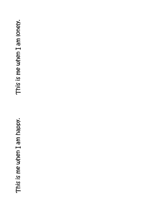• <sup>~</sup>a. /'0 .c E  $\boldsymbol{\sigma}$  $\mapsto$ C sdie 3 Q) E  $\overline{\mathbf{S}}$  |  $\overline{\mathbf{c}}$ <del>با</del>

mely.  $\overline{\textsf{o}}$ E  $\boldsymbol{\sigma}$  $\mapsto$ C Q) .c 3 Q) E  $\overline{S}$ .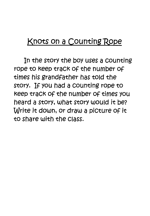#### Knots on a Counting Rope

In the story the boy uses a counting rope to Keep traCK of the number of *times* his grandfather *has* tOld the story. If you had a counting rope to Keep traCK of the number of *times* yoU heard a Story, what Story would it be? Write it down, or draw a picture of it to share with the *class.*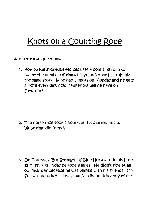# **Knots on a CountingRope**

Answer these questions.

1. Boy-Strength-of-Blue-Horses uses a counting rope to count the number of times his grandfather has tOld him the same story. If he had 5 knots on Monday and he gets 2 *more* every daY, how many Knots will he have on SaturdaY?

2. The horse race tOOK *q.* hours, and it Started at 1 p.m. What time did it end?

3. On ThursdaY, BoY-Strength-of-Blue-Horses rode his hose 12 miles. On fridaY he rode 8 miles. He didn't ride at all on Saturday because he *was* Playing With his friends. On Sunday he rode 5 miles. How far did he ride altogether?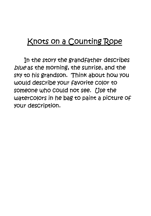## **Knots on a CountingRope**

In the Story the grandfather describes blue as the morning, the sunrise, and the sky to his grandson. Think about how you would describe your favorite COlor to *someone* who could not *see. Use* the waterColors in he bag to paint a piCture of your description.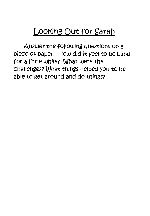# Looking Out for Sarah

Answer the following questions on a piece of paper. How did it feel to be blind for a little while? What were the challenges? What things helped you to be able to get around and do things?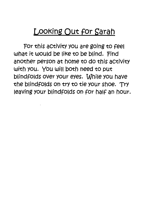## **LooKing OUt for Sarah**

For this activity you are going to feel what it would be like to be blind. Find another person at home to do this activity with you. You will both need to put blindfolds over your eyes. While you have the blindfolds on try to tie your shoe. Try leaving your blindfolds on for half an hour.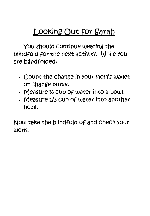# Looking Out for Sarah

You should continue wearing the blindfold for the next activity. While you are blindfolded:

- count the change in your mom's wallet or change purse.
- Measure  $\frac{1}{2}$  cup of water into a bowl.
- Measure 1/3 cup Of water into another bOWl.

Now taKe the blindfold Of and checK your WorK.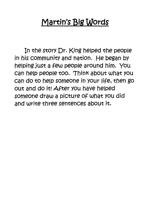# **Martin's Big Words**

In the Story Dr. King helped the people in his community and nation. He began by helping JUSt a few people around him. *you*  can help people too. Think about what you can do to help someone in your life, then go out and do it! After you have helped *someone* draw a picture of what yoU did and write three sentences about it.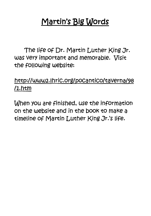# **Martin's Big Words**

The life Of Dr. Martin Luther King Jr. was very important and memorable. Visit the fOllowing website:

#### http://www2.lhric.org/pocantiCo/taverna/98  $1.$ htm

When you are finished, use the information on the website and in the bOOk to make a timeline of Martin Luther King Jr.'s life.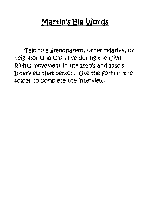# **Martjn's Bjg Words**

TalK to a grandparent, other relative, or neighbor who was alive during the Civil "Rights movement in the *1950'S* and *1960'S.*  Interview that person. Use the form in the fOlder to complete the interView.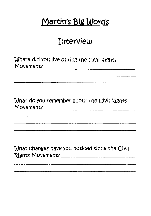# **Martin's Big Words**

#### **InterView**

Where did you live during the Civil Rights Movement? \_\_\_\_\_\_\_\_\_\_\_ \_

What do you remember about the Civil Rights Movement? \_\_\_\_\_\_\_\_\_\_\_ \_

What changes have you noticed since the Civil "Rights Movement? \_\_\_\_\_\_\_\_\_ \_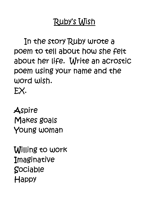# Ruby's Wish

In the Story Ruby Wrote a poem to tell about how she felt about her life. Write an acrostic poem using your name and the word wish.

EX·

**Aspire** MaKes goals young woman

Willing to worK **Imaginative** Sociable **Happy**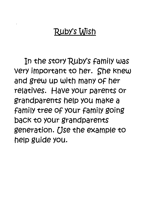# RubY's Wish

In the Story Ruby's familY *was*  very important to her. She Knew and grew up with many Of her relatives. Have your parents or grandparents help yoU maKe a familY tree of your familY going back to your grandparents generation. *Use* the example to help guide you.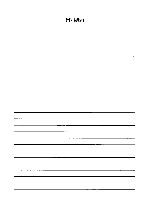#### My Wish

 $\hat{\mathbf{z}}$ 

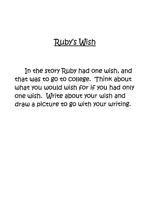# Ruby's Wish

In the Story Ruby had one wish, and that *was* to go to cOllege. Think about what you would wish for if you had only one wish. Write about your wish and draw a picture to go with your writing.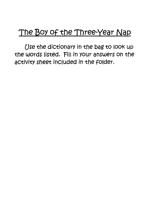# The Boy of the Three-Year Nap

*Use* the dictionary in the bag to lOOK up the words listed. Fill in your answers on the actiVity sheet included in the fOlder.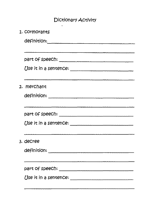#### Dictionary ACtivity

 $\ddot{\phantom{0}}$ 

| 1. COrmorants         |
|-----------------------|
|                       |
|                       |
|                       |
| Use it in a sentence: |
|                       |
| 2. merchant           |
|                       |
|                       |
|                       |
|                       |
|                       |
| 3. decree             |
|                       |
|                       |
|                       |
|                       |
|                       |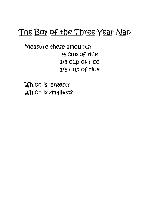# The Boy of the Three-Year Nap

Measure these amounts: % cup Of rice 1/3 Cup of rice 1/8 Cup of rice

Which is largest? Which is smallest?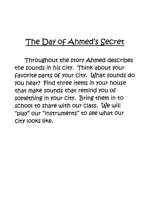#### **The DaY** Of Ahmed's **SeCret**

Throughout the Story Ahmed describes the sounds in his city. Think about your favorite parts of your city. What sounds do you hear? Find three items in your house that make sounds that remind you Of something in your city. Bring them in to school to share With our class. We will "PlaY" our "inStruments" to see what our city lOOkS like.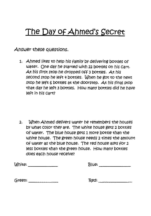# **The DaY Of Ahmed's Secret**

Answer these questions.

1. Ahmed likes to help his family by delivering bottles of water. One daY he Started with 22 bottles on his cart. At his first stop he dropped off 3 bottles. At his second stop he left 4 bottles. When he got to the next stop he left 6 bottles at the doorstep. At his final stop that daY he left 3 bOttles. How many bottles did he have left in his cart?

2. When Ahmed delivers water he remembers the houses bY what COlor theY are. The white house gets 2 bottles of water. The blue house gets 1 more bottle than the white house. The green house needs 2 times the amount Of water as the blue house. The red house aSKS for 2 less bottles than the green house. How many bottles does each house receive?

| White: | Blue: |
|--------|-------|
| Green: | Red:  |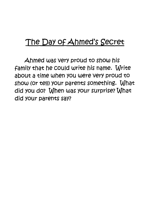## **The DaY of Ahmed's Secret**

Ahmed was very proud to show his family that he could write his name. Write about a *time* when you were very proud to show (or tell) your parents something. What did you do? When was your surprise? What did your parents saY?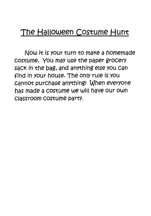## **The Halloween CoStume Hunt**

Now it is your turn to make a homemade COStume. you maY use the paper grocery sack in the bag, and anything else you can find in your house. The onlY rUle is you cannot purchase anything! When everyone has made a COStume we will have our own classroom coStume party.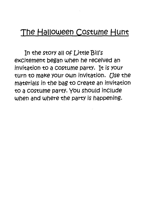#### **The Halloween CoStume Hunt**

In the Story all of Little Bill's excitement began when he received an invitation to a coStume party. It is your tUrn to maKe your own invitation. *Use* the materials in the bag to create an invitation to a COStume partY. you should include when and where the party is happening.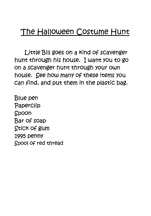## **The Halloween Costume Hunt**

Little Bill *goes* on a Kind Of scavenger hunt through his house. I want you to go on a scavenger hunt through your own house. See how many of these *items* yoU can find, and pUt them in the PlaStic bag.

Blue pen Paperclip Spoon Bar Of soap StiCK of gum 1995 penny SpOOl of red thread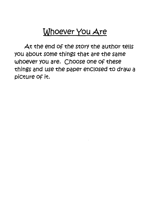# **Whoever you Are**

At the end of the story the author tells yoU about *some* things that are the same whoever you are. Choose one of these things and use the paper enclosed to draw a picture of it.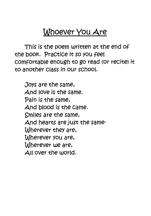# Whoever you Are

This *is* the *poem* written at the end of the booK. 'PraCtice it *so* you feel comfortable enough to go read (or recite) it to another class in our school.

JoyS are the *same,*  And love *is* the *same.*  'Pain *is* the *same,*  And blood *is* the *came.*  Smiles are the *same,*  And hearts are JUSt the *same-*Wherever they are, Wherever you are, Wherever we are, All over the world.